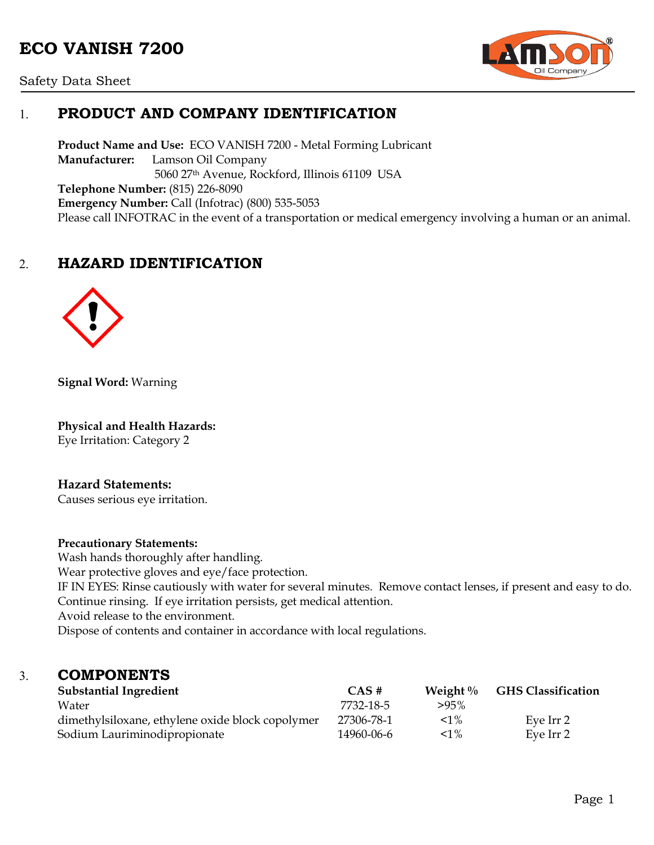# **ECO VANISH 7200**



Safety Data Sheet

# 1. **PRODUCT AND COMPANY IDENTIFICATION**

**Product Name and Use:** ECO VANISH 7200 - Metal Forming Lubricant **Manufacturer:** Lamson Oil Company 5060 27th Avenue, Rockford, Illinois 61109 USA **Telephone Number:** (815) 226-8090 **Emergency Number:** Call (Infotrac) (800) 535-5053 Please call INFOTRAC in the event of a transportation or medical emergency involving a human or an animal.

# 2. **HAZARD IDENTIFICATION**



**Signal Word:** Warning

**Physical and Health Hazards:** Eye Irritation: Category 2

#### **Hazard Statements:**

Causes serious eye irritation.

#### **Precautionary Statements:**

Wash hands thoroughly after handling. Wear protective gloves and eye/face protection. IF IN EYES: Rinse cautiously with water for several minutes. Remove contact lenses, if present and easy to do. Continue rinsing. If eye irritation persists, get medical attention. Avoid release to the environment. Dispose of contents and container in accordance with local regulations.

### 3. **COMPONENTS**

| <b>Substantial Ingredient</b>                    | CAS#       | Weight $\%$ | <b>GHS Classification</b> |
|--------------------------------------------------|------------|-------------|---------------------------|
| Water                                            | 7732-18-5  | $>95\%$     |                           |
| dimethylsiloxane, ethylene oxide block copolymer | 27306-78-1 | $< 1\%$     | Eve Irr 2                 |
| Sodium Lauriminodipropionate                     | 14960-06-6 | $< 1\%$     | Eve Irr 2                 |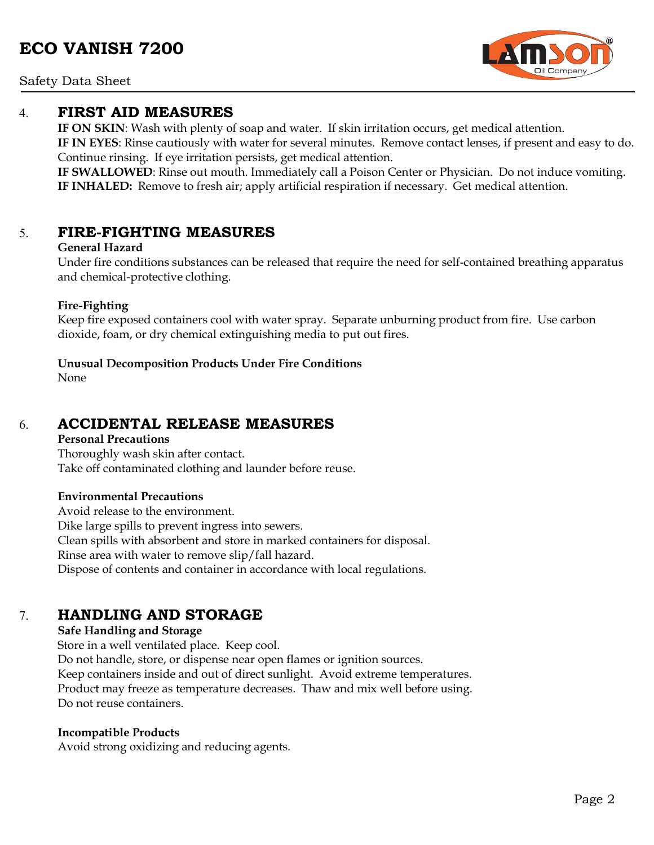#### Safety Data Sheet

### 4. **FIRST AID MEASURES**

**IF ON SKIN**: Wash with plenty of soap and water. If skin irritation occurs, get medical attention.

**IF IN EYES**: Rinse cautiously with water for several minutes. Remove contact lenses, if present and easy to do. Continue rinsing. If eye irritation persists, get medical attention.

**IF SWALLOWED**: Rinse out mouth. Immediately call a Poison Center or Physician. Do not induce vomiting. **IF INHALED:** Remove to fresh air; apply artificial respiration if necessary. Get medical attention.

### 5. **FIRE-FIGHTING MEASURES**

#### **General Hazard**

Under fire conditions substances can be released that require the need for self-contained breathing apparatus and chemical-protective clothing.

#### **Fire-Fighting**

Keep fire exposed containers cool with water spray. Separate unburning product from fire. Use carbon dioxide, foam, or dry chemical extinguishing media to put out fires.

#### **Unusual Decomposition Products Under Fire Conditions**

None

# 6. **ACCIDENTAL RELEASE MEASURES**

#### **Personal Precautions**

Thoroughly wash skin after contact. Take off contaminated clothing and launder before reuse.

#### **Environmental Precautions**

Avoid release to the environment. Dike large spills to prevent ingress into sewers. Clean spills with absorbent and store in marked containers for disposal. Rinse area with water to remove slip/fall hazard. Dispose of contents and container in accordance with local regulations.

# 7. **HANDLING AND STORAGE**

#### **Safe Handling and Storage**

Store in a well ventilated place. Keep cool. Do not handle, store, or dispense near open flames or ignition sources. Keep containers inside and out of direct sunlight. Avoid extreme temperatures. Product may freeze as temperature decreases. Thaw and mix well before using. Do not reuse containers.

#### **Incompatible Products**

Avoid strong oxidizing and reducing agents.

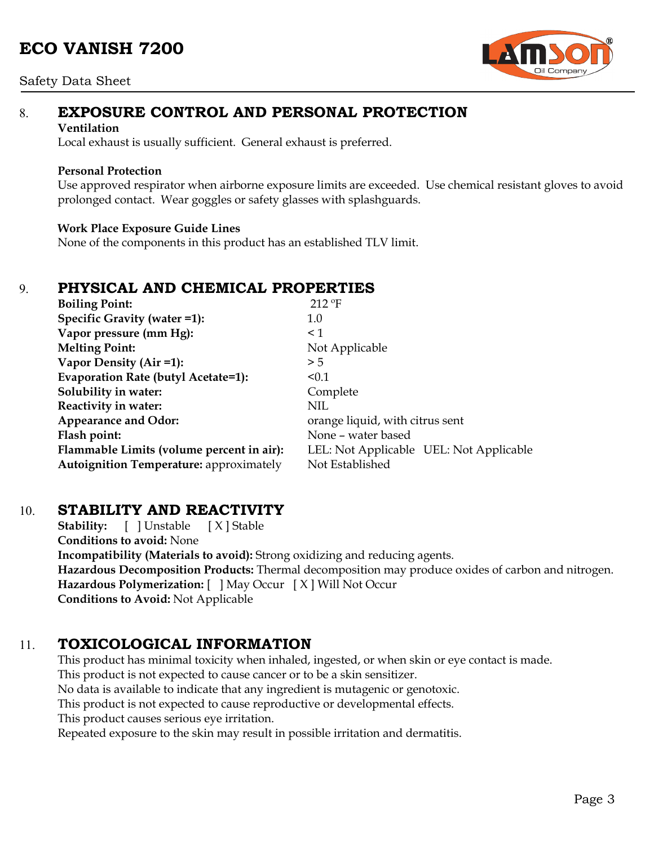#### Safety Data Sheet



# 8. **EXPOSURE CONTROL AND PERSONAL PROTECTION**

#### **Ventilation**

Local exhaust is usually sufficient. General exhaust is preferred.

#### **Personal Protection**

Use approved respirator when airborne exposure limits are exceeded. Use chemical resistant gloves to avoid prolonged contact. Wear goggles or safety glasses with splashguards.

#### **Work Place Exposure Guide Lines**

None of the components in this product has an established TLV limit.

## 9. **PHYSICAL AND CHEMICAL PROPERTIES**

| <b>Boiling Point:</b>                          | $212$ °F                                |  |  |
|------------------------------------------------|-----------------------------------------|--|--|
| Specific Gravity (water =1):                   | 1.0                                     |  |  |
| Vapor pressure (mm Hg):                        | $\leq 1$                                |  |  |
| <b>Melting Point:</b>                          | Not Applicable                          |  |  |
| Vapor Density (Air =1):                        | > 5                                     |  |  |
| Evaporation Rate (butyl Acetate=1):            | < 0.1                                   |  |  |
| Solubility in water:                           | Complete                                |  |  |
| Reactivity in water:                           | <b>NIL</b>                              |  |  |
| <b>Appearance and Odor:</b>                    | orange liquid, with citrus sent         |  |  |
| Flash point:                                   | None - water based                      |  |  |
| Flammable Limits (volume percent in air):      | LEL: Not Applicable UEL: Not Applicable |  |  |
| <b>Autoignition Temperature: approximately</b> | Not Established                         |  |  |

### 10. **STABILITY AND REACTIVITY**

**Stability:** [ ] Unstable [ X ] Stable **Conditions to avoid:** None **Incompatibility (Materials to avoid):** Strong oxidizing and reducing agents. **Hazardous Decomposition Products:** Thermal decomposition may produce oxides of carbon and nitrogen. **Hazardous Polymerization:** [ ] May Occur [ X ] Will Not Occur **Conditions to Avoid:** Not Applicable

# 11. **TOXICOLOGICAL INFORMATION**

This product has minimal toxicity when inhaled, ingested, or when skin or eye contact is made. This product is not expected to cause cancer or to be a skin sensitizer. No data is available to indicate that any ingredient is mutagenic or genotoxic. This product is not expected to cause reproductive or developmental effects. This product causes serious eye irritation. Repeated exposure to the skin may result in possible irritation and dermatitis.